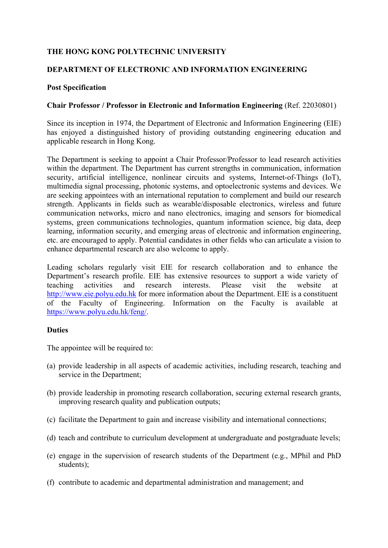# **THE HONG KONG POLYTECHNIC UNIVERSITY**

## **DEPARTMENT OF ELECTRONIC AND INFORMATION ENGINEERING**

#### **Post Specification**

## **Chair Professor / Professor in Electronic and Information Engineering** (Ref. 22030801)

Since its inception in 1974, the Department of Electronic and Information Engineering (EIE) has enjoyed a distinguished history of providing outstanding engineering education and applicable research in Hong Kong.

The Department is seeking to appoint a Chair Professor/Professor to lead research activities within the department. The Department has current strengths in communication, information security, artificial intelligence, nonlinear circuits and systems, Internet-of-Things (IoT), multimedia signal processing, photonic systems, and optoelectronic systems and devices. We are seeking appointees with an international reputation to complement and build our research strength. Applicants in fields such as wearable/disposable electronics, wireless and future communication networks, micro and nano electronics, imaging and sensors for biomedical systems, green communications technologies, quantum information science, big data, deep learning, information security, and emerging areas of electronic and information engineering, etc. are encouraged to apply. Potential candidates in other fields who can articulate a vision to enhance departmental research are also welcome to apply.

Leading scholars regularly visit EIE for research collaboration and to enhance the Department's research profile. EIE has extensive resources to support a wide variety of teaching activities and research interests. Please visit the website at http://www.eie.polyu.edu.hk for more information about the Department. EIE is a constituent of the Faculty of Engineering. Information on the Faculty is available at https://www.polyu.edu.hk/feng/.

#### **Duties**

The appointee will be required to:

- (a) provide leadership in all aspects of academic activities, including research, teaching and service in the Department;
- (b) provide leadership in promoting research collaboration, securing external research grants, improving research quality and publication outputs;
- (c) facilitate the Department to gain and increase visibility and international connections;
- (d) teach and contribute to curriculum development at undergraduate and postgraduate levels;
- (e) engage in the supervision of research students of the Department (e.g., MPhil and PhD students);
- (f) contribute to academic and departmental administration and management; and